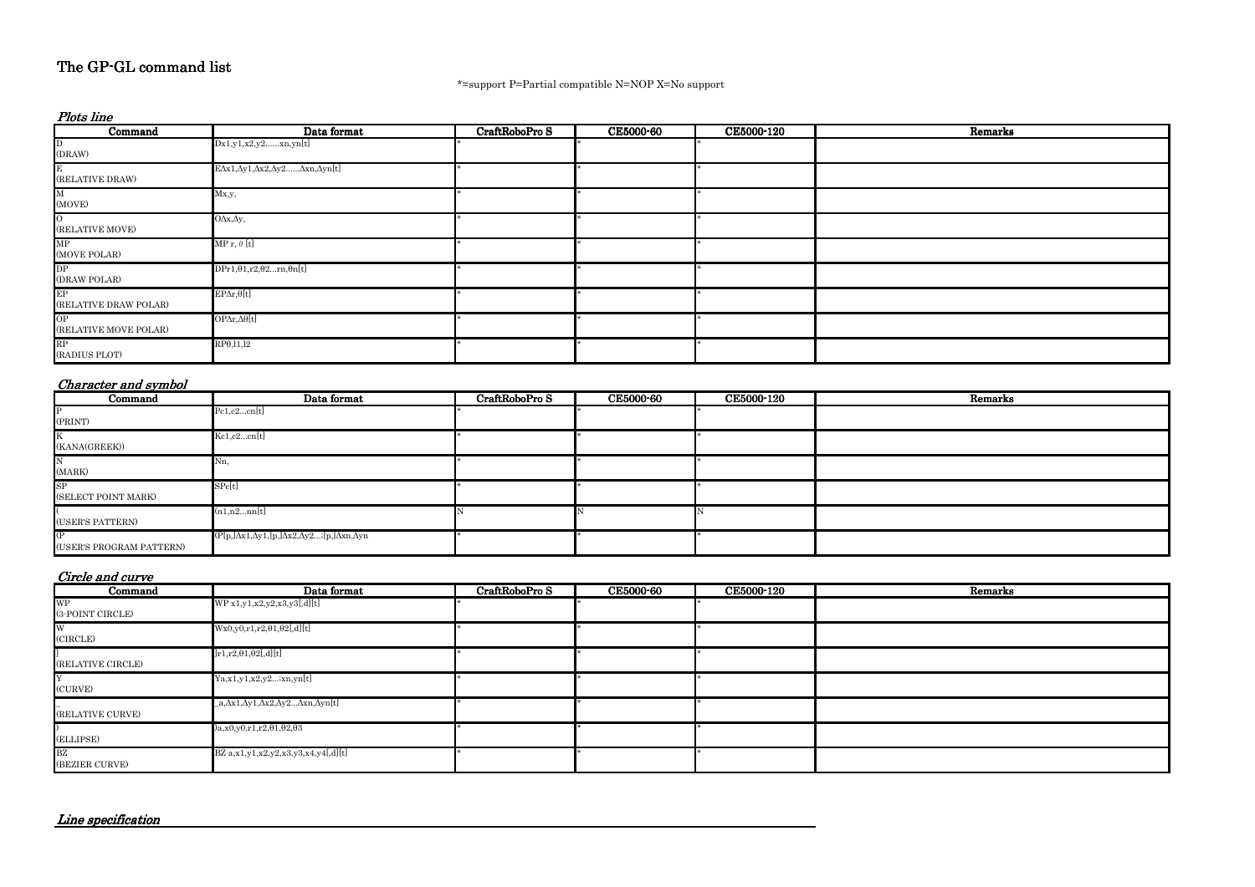| Command                        | Data format                                                                 | CraftRoboPro S | <b>CE5000-60</b> | <b>CE5000-120</b> | Remarks |
|--------------------------------|-----------------------------------------------------------------------------|----------------|------------------|-------------------|---------|
| <b>P</b>                       | Pc1,c2cn[t]                                                                 |                |                  |                   |         |
| (PRINT)                        |                                                                             |                |                  |                   |         |
| K<br>(KANA(GREEK))             | Kc1,c2cn[t]                                                                 |                |                  |                   |         |
| N<br>(MARK)                    | Nn,                                                                         |                |                  |                   |         |
| SP<br>(SELECT POINT MARK)      | ${\rm SPc[t]}$                                                              |                |                  |                   |         |
| (USER'S PATTERN)               | (n1,n2nn[t]                                                                 |                |                  |                   |         |
| (P<br>(USER'S PROGRAM PATTERN) | $(P[p,]\Delta x1,\Delta y1,[p,]\Delta x2,\Delta y2,[p,]\Delta xn,\Delta yn$ |                |                  |                   |         |

| Plots line                             |                                                                                |                |                  |            |         |  |  |
|----------------------------------------|--------------------------------------------------------------------------------|----------------|------------------|------------|---------|--|--|
| Command                                | Data format                                                                    | CraftRoboPro S | <b>CE5000-60</b> | CE5000-120 | Remarks |  |  |
| D<br>(DRAW)                            | Dx1,y1,x2,y2xn,yn[t]                                                           |                |                  |            |         |  |  |
| Е<br>$(\operatorname{RELATIVE\ DRAW})$ | $E\Delta x1, \Delta y1, \Delta x2, \Delta y2, \ldots, \Delta xn, \Delta yn[t]$ |                |                  |            |         |  |  |
| M<br>(MOVE)                            | Mx,y,                                                                          |                |                  |            |         |  |  |
| $\overline{O}$<br>(RELATIVE MOVE)      | $O\Delta x, \Delta y,$                                                         |                |                  |            |         |  |  |
| MP<br>(MOVE POLAR)                     | $\text{MP r}, \theta \text{ [t]}$                                              |                |                  |            |         |  |  |
| DP<br>(DRAW POLAR)                     | $DPr1, \theta1, r2, \theta2rn, \thetan[t]$                                     |                |                  |            |         |  |  |
| EP<br>(RELATIVE DRAW POLAR)            | $EP\Delta r,\theta[t]$                                                         |                |                  |            |         |  |  |
| OP<br>(RELATIVE MOVE POLAR)            | $OP\Delta r, \Delta \theta[t]$                                                 |                |                  |            |         |  |  |
| RP<br>(RADIUS PLOT)                    | $RP\theta$ , 11, 12                                                            |                |                  |            |         |  |  |

| Command           | Data format                                    | CraftRoboPro S | <b>CE5000-60</b> | <b>CE5000-120</b> | Remarks |
|-------------------|------------------------------------------------|----------------|------------------|-------------------|---------|
| <b>WP</b>         | WP x1, y1, x2, y2, x3, y3, d]                  |                |                  |                   |         |
| (3-POINT CIRCLE)  |                                                |                |                  |                   |         |
| W                 | $Wx0,y0,r1,r2,\theta 1,\theta 2[,d][t]$        |                |                  |                   |         |
| (CIRCLE)          |                                                |                |                  |                   |         |
|                   | $]r1,r2,\theta1,\theta2[,d][t]$                |                |                  |                   |         |
| (RELATIVE CIRCLE) |                                                |                |                  |                   |         |
|                   | Ya, x1, y1, x2, y2; xn, yn[t]                  |                |                  |                   |         |
| (CURVE)           |                                                |                |                  |                   |         |
|                   | _a,Δx1,Δy1,Δx2,Δy2…Δxn,Δyn[t]                  |                |                  |                   |         |
| (RELATIVE CURVE)  |                                                |                |                  |                   |         |
|                   | $a, x0, y0, r1, r2, \theta1, \theta2, \theta3$ |                |                  |                   |         |
| (ELLIPSE)         |                                                |                |                  |                   |         |
| BZ                | BZ $a, x1, y1, x2, y2, x3, y3, x4, y4[,d][t]$  |                |                  |                   |         |
| (BEZIER CURVE)    |                                                |                |                  |                   |         |

# The GP-GL command list

\*=support P=Partial compatible N=NOP X=No support

### Character and symbol

### Circle and curve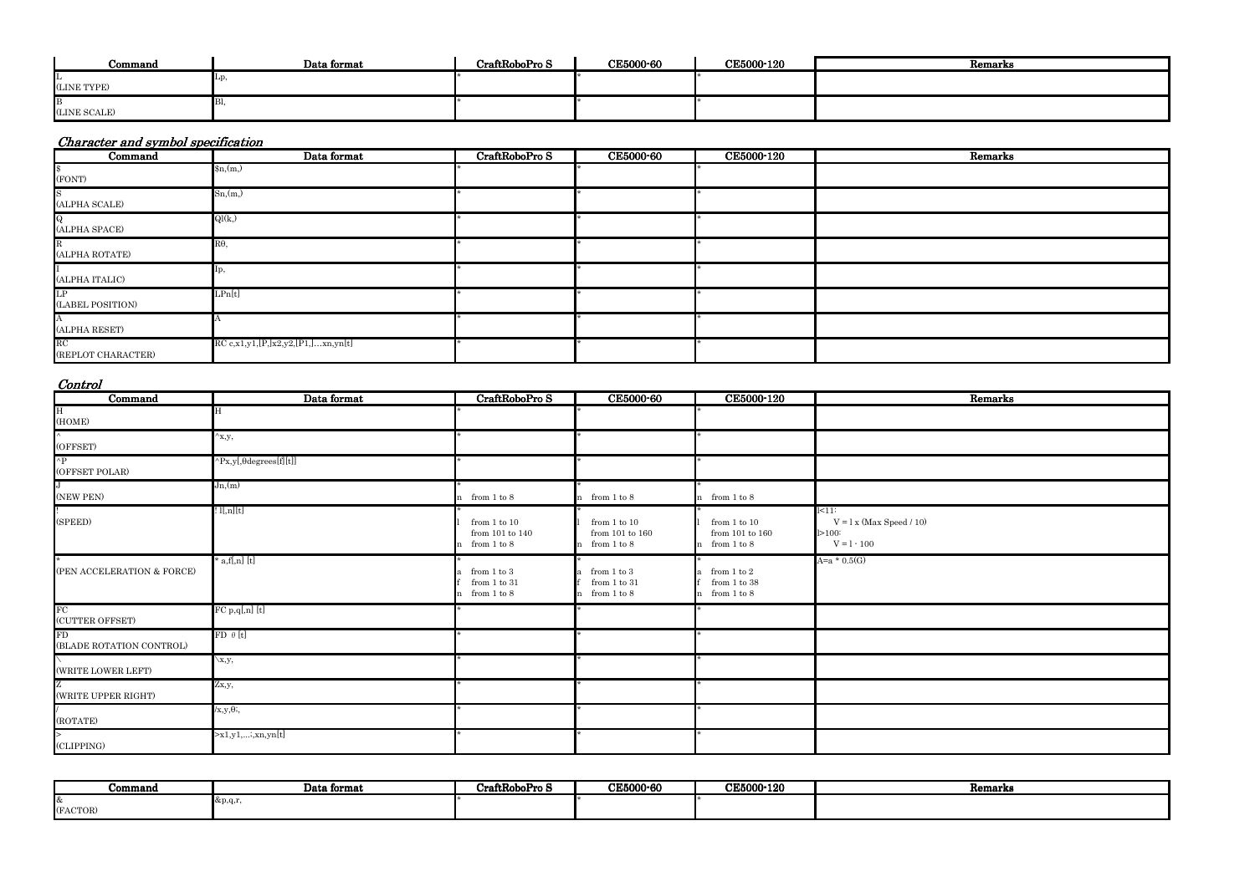| Command      | Data format | CraftRoboPro S | CE5000-60 | <b>CE5000-120</b> | Remarks |
|--------------|-------------|----------------|-----------|-------------------|---------|
| (LINE TYPE)  |             |                |           |                   |         |
|              |             |                |           |                   |         |
| (LINE SCALE) |             |                |           |                   |         |

| Command                        | Data format                          | CraftRoboPro S | <b>CE5000-60</b> | <b>CE5000-120</b> | Remarks |
|--------------------------------|--------------------------------------|----------------|------------------|-------------------|---------|
| \$<br>(FONT)                   | n(m)                                 |                |                  |                   |         |
| S<br>(ALPHA SCALE)             | Sn(m)                                |                |                  |                   |         |
| $\bf{Q}$<br>(ALPHA SPACE)      | Ql(k)                                |                |                  |                   |         |
| R<br>(ALPHA ROTATE)            | $R\theta$ ,                          |                |                  |                   |         |
| (ALPHA ITALIC)                 | $\mu$                                |                |                  |                   |         |
| LP<br>(LABEL POSITION)         | LPn[t]                               |                |                  |                   |         |
| (ALPHA RESET)                  |                                      |                |                  |                   |         |
| $\rm RC$<br>(REPLOT CHARACTER) | $RC$ c,x1,y1,[P,]x2,y2,[P1,]xn,yn[t] |                |                  |                   |         |

| Command                        | Data format            | CraftRoboPro S                                                      | <b>CE5000-60</b>                                             | CE5000-120                                             | Remarks                                                          |
|--------------------------------|------------------------|---------------------------------------------------------------------|--------------------------------------------------------------|--------------------------------------------------------|------------------------------------------------------------------|
| H<br>(HOME)                    |                        |                                                                     |                                                              |                                                        |                                                                  |
| (OFFSET)                       | ${}^{\wedge}$ x,y,     |                                                                     |                                                              |                                                        |                                                                  |
| $\mathbf{p}$<br>(OFFSET POLAR) | ^Px,y[,θdegrees[f][t]] |                                                                     |                                                              |                                                        |                                                                  |
| (NEW PEN)                      | Jn,(m)                 | from $1$ to $8$                                                     | n from 1 to 8                                                | n from 1 to 8                                          |                                                                  |
| (SPEED)                        | l[n][t]                | from $1$ to $10\,$<br>from 101 to 140 $\,$<br>from $1\ {\rm to}\ 8$ | from $1$ to $10\,$<br>from $101$ to $160\,$<br>n from 1 to 8 | from $1$ to $10\,$<br>from 101 to 160<br>n from 1 to 8 | $k=11$<br>$V = l x$ (Max Speed / 10)<br>1 > 100<br>$V = 1 - 100$ |
| (PEN ACCELERATION & FORCE)     | ' a,f[,n] [t]          | from $1$ to $3$<br>from $1$ to $31\,$<br>from $1$ to $8$            | from 1 to 3<br>from $1$ to $31$<br>from 1 to 8               | a from $1$ to $2$<br>from $1$ to $38$<br>n from 1 to 8 | $A=a * 0.5(G)$                                                   |
| FC<br>(CUTTER OFFSET)          | $FC p,q[,n]$ $[t]$     |                                                                     |                                                              |                                                        |                                                                  |
| FD<br>(BLADE ROTATION CONTROL) | $FD \theta[t]$         |                                                                     |                                                              |                                                        |                                                                  |
| (WRITE LOWER LEFT)             | $\setminus x,y,$       |                                                                     |                                                              |                                                        |                                                                  |
| (WRITE UPPER RIGHT)            | Zx,y,                  |                                                                     |                                                              |                                                        |                                                                  |
| (ROTATE)                       | $/x,y,\theta;$         |                                                                     |                                                              |                                                        |                                                                  |
| CLIPPING)                      | $\geq x1,y1,,xn,yn[t]$ |                                                                     |                                                              |                                                        |                                                                  |

| Command        | Data format                           | CraftRoboPro S | CE5000-60 | <b>CE5000-120</b> | Remarks |
|----------------|---------------------------------------|----------------|-----------|-------------------|---------|
| Ι&<br>(FACTOR) | $\&\mathrm{p},\mathrm{q},\mathrm{r},$ |                |           |                   |         |

| <b>Kemarks</b> |  |
|----------------|--|
|                |  |

| Remarks |  |  |
|---------|--|--|
|         |  |  |
|         |  |  |
|         |  |  |
|         |  |  |
|         |  |  |
|         |  |  |
|         |  |  |
|         |  |  |
|         |  |  |
|         |  |  |
|         |  |  |
|         |  |  |
|         |  |  |
|         |  |  |
|         |  |  |

# Character and symbol specification

#### Control